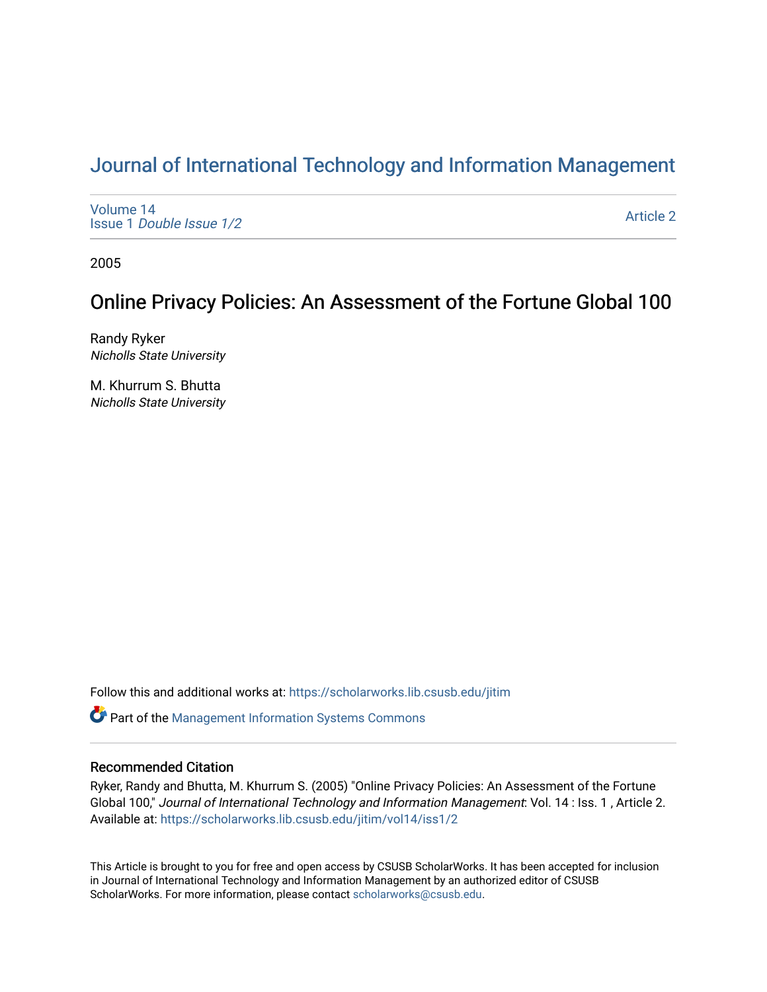# [Journal of International Technology and Information Management](https://scholarworks.lib.csusb.edu/jitim)

[Volume 14](https://scholarworks.lib.csusb.edu/jitim/vol14) Issue 1 [Double Issue 1/2](https://scholarworks.lib.csusb.edu/jitim/vol14/iss1) 

[Article 2](https://scholarworks.lib.csusb.edu/jitim/vol14/iss1/2) 

2005

# Online Privacy Policies: An Assessment of the Fortune Global 100

Randy Ryker Nicholls State University

M. Khurrum S. Bhutta Nicholls State University

Follow this and additional works at: [https://scholarworks.lib.csusb.edu/jitim](https://scholarworks.lib.csusb.edu/jitim?utm_source=scholarworks.lib.csusb.edu%2Fjitim%2Fvol14%2Fiss1%2F2&utm_medium=PDF&utm_campaign=PDFCoverPages) 

**C** Part of the Management Information Systems Commons

# Recommended Citation

Ryker, Randy and Bhutta, M. Khurrum S. (2005) "Online Privacy Policies: An Assessment of the Fortune Global 100," Journal of International Technology and Information Management: Vol. 14 : Iss. 1 , Article 2. Available at: [https://scholarworks.lib.csusb.edu/jitim/vol14/iss1/2](https://scholarworks.lib.csusb.edu/jitim/vol14/iss1/2?utm_source=scholarworks.lib.csusb.edu%2Fjitim%2Fvol14%2Fiss1%2F2&utm_medium=PDF&utm_campaign=PDFCoverPages) 

This Article is brought to you for free and open access by CSUSB ScholarWorks. It has been accepted for inclusion in Journal of International Technology and Information Management by an authorized editor of CSUSB ScholarWorks. For more information, please contact [scholarworks@csusb.edu.](mailto:scholarworks@csusb.edu)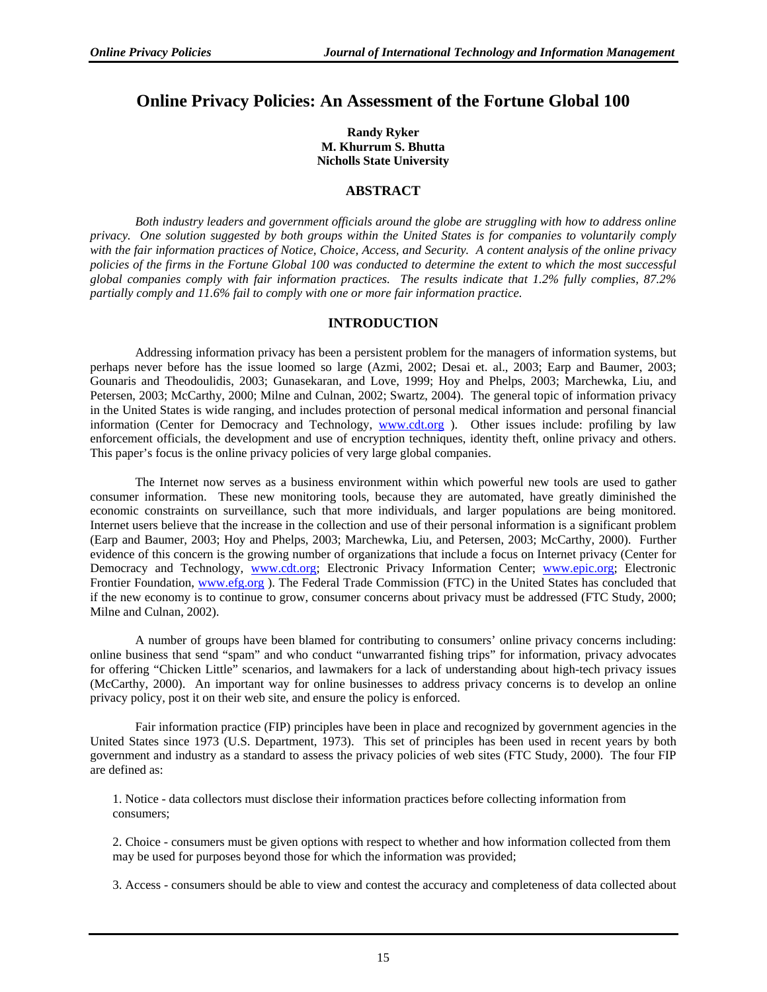# **Online Privacy Policies: An Assessment of the Fortune Global 100**

**Randy Ryker M. Khurrum S. Bhutta Nicholls State University** 

## **ABSTRACT**

*Both industry leaders and government officials around the globe are struggling with how to address online privacy. One solution suggested by both groups within the United States is for companies to voluntarily comply with the fair information practices of Notice, Choice, Access, and Security. A content analysis of the online privacy policies of the firms in the Fortune Global 100 was conducted to determine the extent to which the most successful global companies comply with fair information practices. The results indicate that 1.2% fully complies, 87.2% partially comply and 11.6% fail to comply with one or more fair information practice.* 

# **INTRODUCTION**

Addressing information privacy has been a persistent problem for the managers of information systems, but perhaps never before has the issue loomed so large (Azmi, 2002; Desai et. al., 2003; Earp and Baumer, 2003; Gounaris and Theodoulidis, 2003; Gunasekaran, and Love, 1999; Hoy and Phelps, 2003; Marchewka, Liu, and Petersen, 2003; McCarthy, 2000; Milne and Culnan, 2002; Swartz, 2004). The general topic of information privacy in the United States is wide ranging, and includes protection of personal medical information and personal financial information (Center for Democracy and Technology, www.cdt.org ). Other issues include: profiling by law enforcement officials, the development and use of encryption techniques, identity theft, online privacy and others. This paper's focus is the online privacy policies of very large global companies.

The Internet now serves as a business environment within which powerful new tools are used to gather consumer information. These new monitoring tools, because they are automated, have greatly diminished the economic constraints on surveillance, such that more individuals, and larger populations are being monitored. Internet users believe that the increase in the collection and use of their personal information is a significant problem (Earp and Baumer, 2003; Hoy and Phelps, 2003; Marchewka, Liu, and Petersen, 2003; McCarthy, 2000). Further evidence of this concern is the growing number of organizations that include a focus on Internet privacy (Center for Democracy and Technology, www.cdt.org; Electronic Privacy Information Center; www.epic.org; Electronic Frontier Foundation, www.efg.org ). The Federal Trade Commission (FTC) in the United States has concluded that if the new economy is to continue to grow, consumer concerns about privacy must be addressed (FTC Study, 2000; Milne and Culnan, 2002).

A number of groups have been blamed for contributing to consumers' online privacy concerns including: online business that send "spam" and who conduct "unwarranted fishing trips" for information, privacy advocates for offering "Chicken Little" scenarios, and lawmakers for a lack of understanding about high-tech privacy issues (McCarthy, 2000). An important way for online businesses to address privacy concerns is to develop an online privacy policy, post it on their web site, and ensure the policy is enforced.

Fair information practice (FIP) principles have been in place and recognized by government agencies in the United States since 1973 (U.S. Department, 1973). This set of principles has been used in recent years by both government and industry as a standard to assess the privacy policies of web sites (FTC Study, 2000). The four FIP are defined as:

1. Notice - data collectors must disclose their information practices before collecting information from consumers;

2. Choice - consumers must be given options with respect to whether and how information collected from them may be used for purposes beyond those for which the information was provided;

3. Access - consumers should be able to view and contest the accuracy and completeness of data collected about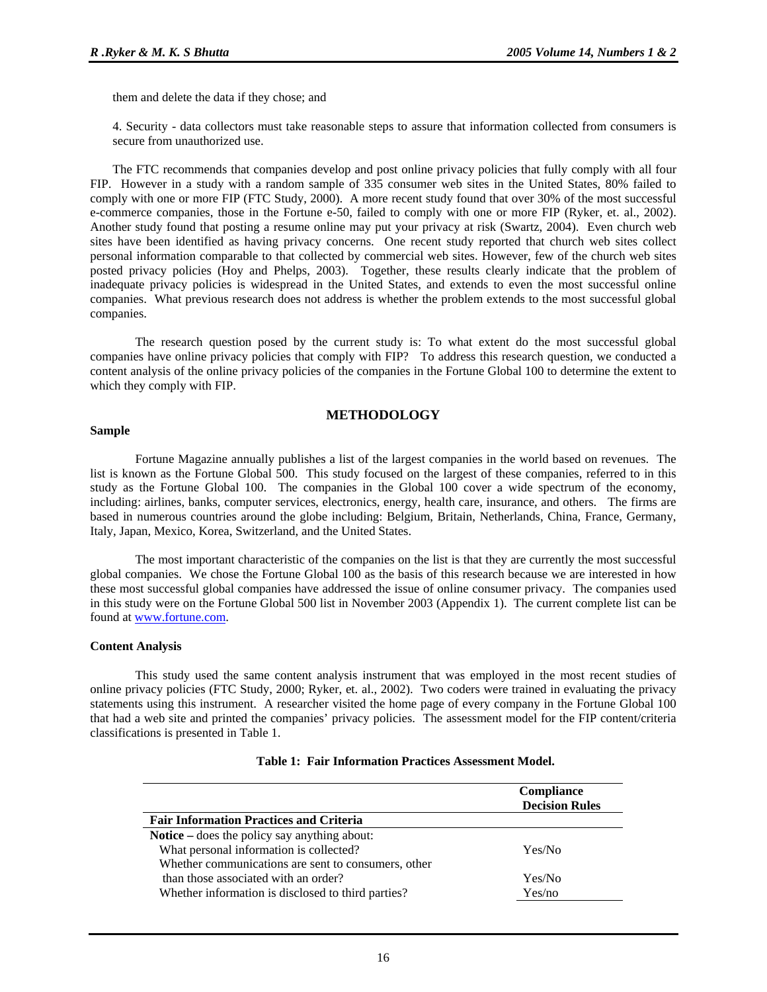them and delete the data if they chose; and

4. Security - data collectors must take reasonable steps to assure that information collected from consumers is secure from unauthorized use.

The FTC recommends that companies develop and post online privacy policies that fully comply with all four FIP. However in a study with a random sample of 335 consumer web sites in the United States, 80% failed to comply with one or more FIP (FTC Study, 2000). A more recent study found that over 30% of the most successful e-commerce companies, those in the Fortune e-50, failed to comply with one or more FIP (Ryker, et. al., 2002). Another study found that posting a resume online may put your privacy at risk (Swartz, 2004). Even church web sites have been identified as having privacy concerns. One recent study reported that church web sites collect personal information comparable to that collected by commercial web sites. However, few of the church web sites posted privacy policies (Hoy and Phelps, 2003). Together, these results clearly indicate that the problem of inadequate privacy policies is widespread in the United States, and extends to even the most successful online companies. What previous research does not address is whether the problem extends to the most successful global companies.

The research question posed by the current study is: To what extent do the most successful global companies have online privacy policies that comply with FIP? To address this research question, we conducted a content analysis of the online privacy policies of the companies in the Fortune Global 100 to determine the extent to which they comply with FIP.

#### **METHODOLOGY**

#### **Sample**

Fortune Magazine annually publishes a list of the largest companies in the world based on revenues. The list is known as the Fortune Global 500. This study focused on the largest of these companies, referred to in this study as the Fortune Global 100. The companies in the Global 100 cover a wide spectrum of the economy, including: airlines, banks, computer services, electronics, energy, health care, insurance, and others. The firms are based in numerous countries around the globe including: Belgium, Britain, Netherlands, China, France, Germany, Italy, Japan, Mexico, Korea, Switzerland, and the United States.

The most important characteristic of the companies on the list is that they are currently the most successful global companies. We chose the Fortune Global 100 as the basis of this research because we are interested in how these most successful global companies have addressed the issue of online consumer privacy. The companies used in this study were on the Fortune Global 500 list in November 2003 (Appendix 1). The current complete list can be found at www.fortune.com.

#### **Content Analysis**

This study used the same content analysis instrument that was employed in the most recent studies of online privacy policies (FTC Study, 2000; Ryker, et. al., 2002). Two coders were trained in evaluating the privacy statements using this instrument. A researcher visited the home page of every company in the Fortune Global 100 that had a web site and printed the companies' privacy policies. The assessment model for the FIP content/criteria classifications is presented in Table 1.

|                                                     | Compliance<br><b>Decision Rules</b> |
|-----------------------------------------------------|-------------------------------------|
| <b>Fair Information Practices and Criteria</b>      |                                     |
| <b>Notice</b> – does the policy say anything about: |                                     |
| What personal information is collected?             | Yes/No                              |
| Whether communications are sent to consumers, other |                                     |
| than those associated with an order?                | Yes/No                              |
| Whether information is disclosed to third parties?  | Yes/no                              |

#### **Table 1: Fair Information Practices Assessment Model.**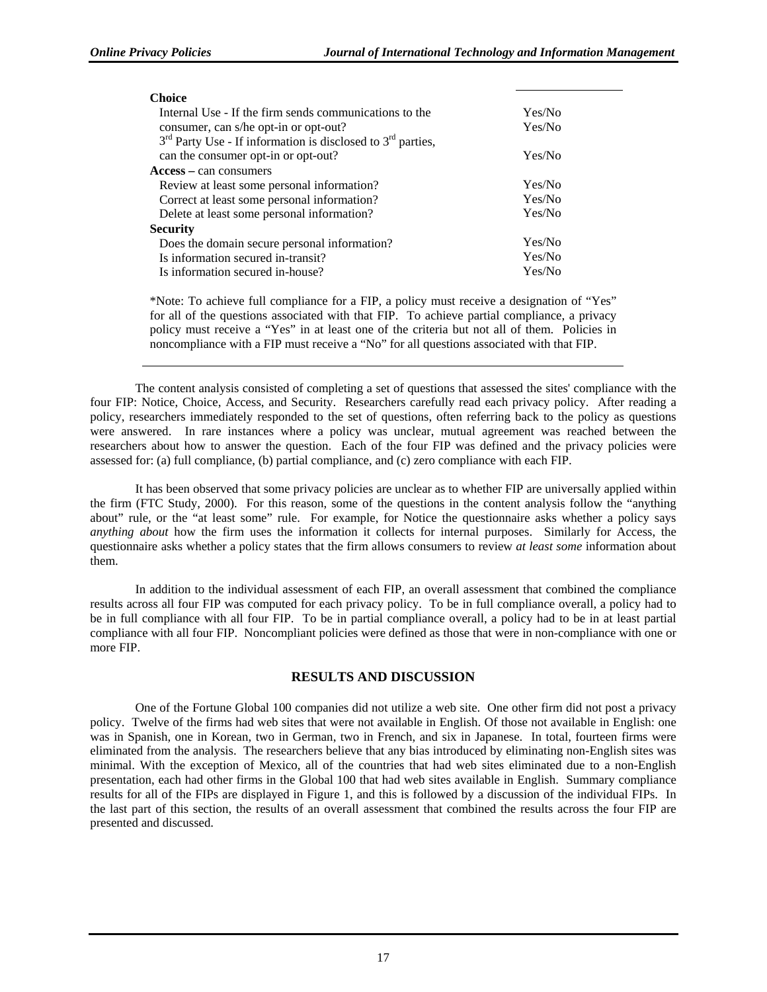| <b>Choice</b>                                                   |        |
|-----------------------------------------------------------------|--------|
| Internal Use - If the firm sends communications to the          | Yes/No |
| consumer, can s/he opt-in or opt-out?                           | Yes/No |
| $3rd$ Party Use - If information is disclosed to $3rd$ parties, |        |
| can the consumer opt-in or opt-out?                             | Yes/No |
| $Access - can consumers$                                        |        |
| Review at least some personal information?                      | Yes/No |
| Correct at least some personal information?                     | Yes/No |
| Delete at least some personal information?                      | Yes/No |
| Security                                                        |        |
| Does the domain secure personal information?                    | Yes/No |
| Is information secured in-transit?                              | Yes/No |
| Is information secured in-house?                                | Yes/No |
|                                                                 |        |

\*Note: To achieve full compliance for a FIP, a policy must receive a designation of "Yes" for all of the questions associated with that FIP. To achieve partial compliance, a privacy policy must receive a "Yes" in at least one of the criteria but not all of them. Policies in noncompliance with a FIP must receive a "No" for all questions associated with that FIP.

The content analysis consisted of completing a set of questions that assessed the sites' compliance with the four FIP: Notice, Choice, Access, and Security. Researchers carefully read each privacy policy. After reading a policy, researchers immediately responded to the set of questions, often referring back to the policy as questions were answered. In rare instances where a policy was unclear, mutual agreement was reached between the researchers about how to answer the question. Each of the four FIP was defined and the privacy policies were assessed for: (a) full compliance, (b) partial compliance, and (c) zero compliance with each FIP.

It has been observed that some privacy policies are unclear as to whether FIP are universally applied within the firm (FTC Study, 2000). For this reason, some of the questions in the content analysis follow the "anything about" rule, or the "at least some" rule. For example, for Notice the questionnaire asks whether a policy says *anything about* how the firm uses the information it collects for internal purposes. Similarly for Access, the questionnaire asks whether a policy states that the firm allows consumers to review *at least some* information about them.

In addition to the individual assessment of each FIP, an overall assessment that combined the compliance results across all four FIP was computed for each privacy policy. To be in full compliance overall, a policy had to be in full compliance with all four FIP. To be in partial compliance overall, a policy had to be in at least partial compliance with all four FIP. Noncompliant policies were defined as those that were in non-compliance with one or more FIP.

# **RESULTS AND DISCUSSION**

One of the Fortune Global 100 companies did not utilize a web site. One other firm did not post a privacy policy. Twelve of the firms had web sites that were not available in English. Of those not available in English: one was in Spanish, one in Korean, two in German, two in French, and six in Japanese. In total, fourteen firms were eliminated from the analysis. The researchers believe that any bias introduced by eliminating non-English sites was minimal. With the exception of Mexico, all of the countries that had web sites eliminated due to a non-English presentation, each had other firms in the Global 100 that had web sites available in English. Summary compliance results for all of the FIPs are displayed in Figure 1, and this is followed by a discussion of the individual FIPs. In the last part of this section, the results of an overall assessment that combined the results across the four FIP are presented and discussed.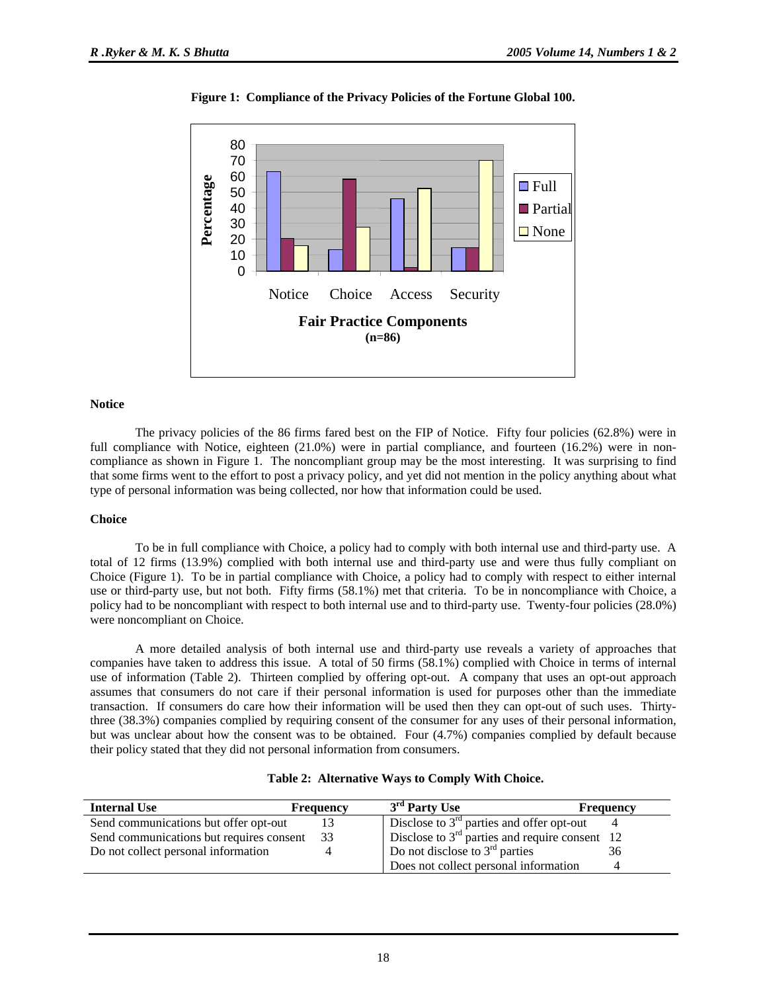

**Figure 1: Compliance of the Privacy Policies of the Fortune Global 100.**

#### **Notice**

The privacy policies of the 86 firms fared best on the FIP of Notice. Fifty four policies (62.8%) were in full compliance with Notice, eighteen (21.0%) were in partial compliance, and fourteen (16.2%) were in noncompliance as shown in Figure 1. The noncompliant group may be the most interesting. It was surprising to find that some firms went to the effort to post a privacy policy, and yet did not mention in the policy anything about what type of personal information was being collected, nor how that information could be used.

#### **Choice**

To be in full compliance with Choice, a policy had to comply with both internal use and third-party use. A total of 12 firms (13.9%) complied with both internal use and third-party use and were thus fully compliant on Choice (Figure 1). To be in partial compliance with Choice, a policy had to comply with respect to either internal use or third-party use, but not both. Fifty firms (58.1%) met that criteria. To be in noncompliance with Choice, a policy had to be noncompliant with respect to both internal use and to third-party use. Twenty-four policies (28.0%) were noncompliant on Choice.

A more detailed analysis of both internal use and third-party use reveals a variety of approaches that companies have taken to address this issue. A total of 50 firms (58.1%) complied with Choice in terms of internal use of information (Table 2). Thirteen complied by offering opt-out. A company that uses an opt-out approach assumes that consumers do not care if their personal information is used for purposes other than the immediate transaction. If consumers do care how their information will be used then they can opt-out of such uses. Thirtythree (38.3%) companies complied by requiring consent of the consumer for any uses of their personal information, but was unclear about how the consent was to be obtained. Four (4.7%) companies complied by default because their policy stated that they did not personal information from consumers.

| <b>Internal Use</b>                         | <b>Frequency</b> | 3 <sup>rd</sup> Party Use                        | <b>Frequency</b> |
|---------------------------------------------|------------------|--------------------------------------------------|------------------|
| Send communications but offer opt-out       |                  | Disclose to $3rd$ parties and offer opt-out      |                  |
| Send communications but requires consent 33 |                  | Disclose to $3rd$ parties and require consent 12 |                  |
| Do not collect personal information         |                  | Do not disclose to $3rd$ parties                 | 36               |
|                                             |                  | Does not collect personal information            |                  |

## **Table 2: Alternative Ways to Comply With Choice.**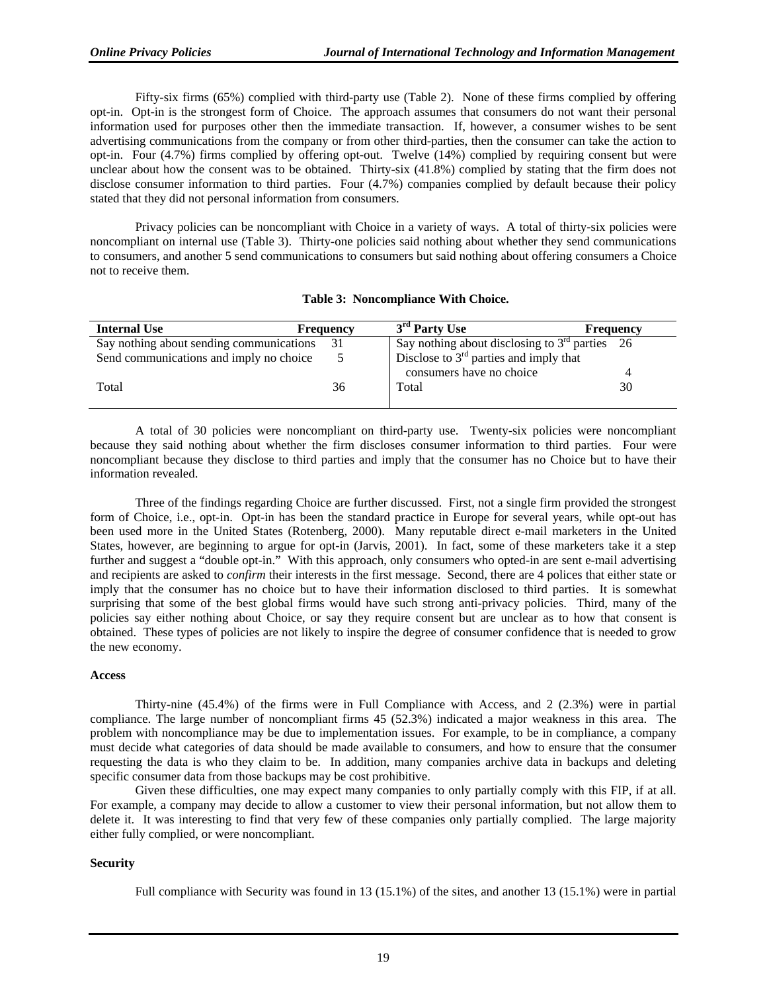Fifty-six firms (65%) complied with third-party use (Table 2). None of these firms complied by offering opt-in. Opt-in is the strongest form of Choice. The approach assumes that consumers do not want their personal information used for purposes other then the immediate transaction. If, however, a consumer wishes to be sent advertising communications from the company or from other third-parties, then the consumer can take the action to opt-in. Four (4.7%) firms complied by offering opt-out. Twelve (14%) complied by requiring consent but were unclear about how the consent was to be obtained. Thirty-six (41.8%) complied by stating that the firm does not disclose consumer information to third parties. Four (4.7%) companies complied by default because their policy stated that they did not personal information from consumers.

Privacy policies can be noncompliant with Choice in a variety of ways. A total of thirty-six policies were noncompliant on internal use (Table 3). Thirty-one policies said nothing about whether they send communications to consumers, and another 5 send communications to consumers but said nothing about offering consumers a Choice not to receive them.

|  | Table 3: Noncompliance With Choice. |  |  |
|--|-------------------------------------|--|--|
|--|-------------------------------------|--|--|

| <b>Internal Use</b>                      | <b>Frequency</b> | 3 <sup>rd</sup> Party Use                        | <b>Frequency</b> |
|------------------------------------------|------------------|--------------------------------------------------|------------------|
| Say nothing about sending communications | 31               | Say nothing about disclosing to $3rd$ parties 26 |                  |
| Send communications and imply no choice  |                  | Disclose to $3rd$ parties and imply that         |                  |
|                                          |                  | consumers have no choice                         |                  |
| Total                                    | 36               | Total                                            | 30               |
|                                          |                  |                                                  |                  |

A total of 30 policies were noncompliant on third-party use. Twenty-six policies were noncompliant because they said nothing about whether the firm discloses consumer information to third parties. Four were noncompliant because they disclose to third parties and imply that the consumer has no Choice but to have their information revealed.

Three of the findings regarding Choice are further discussed. First, not a single firm provided the strongest form of Choice, i.e., opt-in. Opt-in has been the standard practice in Europe for several years, while opt-out has been used more in the United States (Rotenberg, 2000). Many reputable direct e-mail marketers in the United States, however, are beginning to argue for opt-in (Jarvis, 2001). In fact, some of these marketers take it a step further and suggest a "double opt-in." With this approach, only consumers who opted-in are sent e-mail advertising and recipients are asked to *confirm* their interests in the first message. Second, there are 4 polices that either state or imply that the consumer has no choice but to have their information disclosed to third parties. It is somewhat surprising that some of the best global firms would have such strong anti-privacy policies. Third, many of the policies say either nothing about Choice, or say they require consent but are unclear as to how that consent is obtained. These types of policies are not likely to inspire the degree of consumer confidence that is needed to grow the new economy.

#### **Access**

Thirty-nine (45.4%) of the firms were in Full Compliance with Access, and 2 (2.3%) were in partial compliance. The large number of noncompliant firms 45 (52.3%) indicated a major weakness in this area. The problem with noncompliance may be due to implementation issues. For example, to be in compliance, a company must decide what categories of data should be made available to consumers, and how to ensure that the consumer requesting the data is who they claim to be. In addition, many companies archive data in backups and deleting specific consumer data from those backups may be cost prohibitive.

Given these difficulties, one may expect many companies to only partially comply with this FIP, if at all. For example, a company may decide to allow a customer to view their personal information, but not allow them to delete it. It was interesting to find that very few of these companies only partially complied. The large majority either fully complied, or were noncompliant.

#### **Security**

Full compliance with Security was found in 13 (15.1%) of the sites, and another 13 (15.1%) were in partial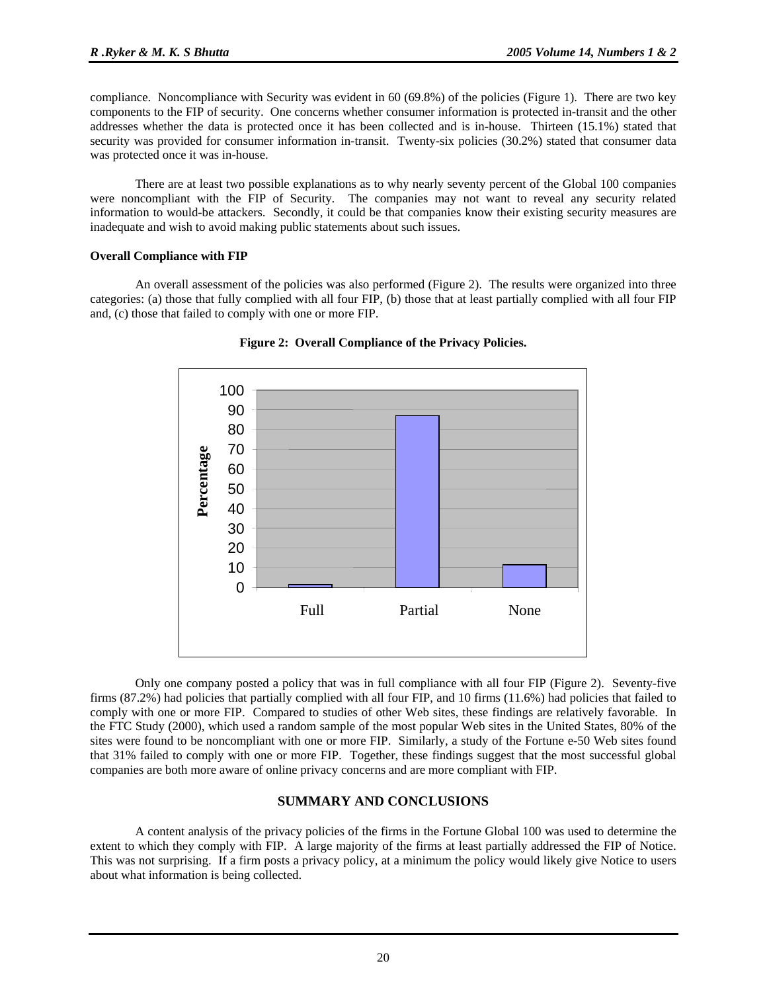compliance. Noncompliance with Security was evident in 60 (69.8%) of the policies (Figure 1). There are two key components to the FIP of security. One concerns whether consumer information is protected in-transit and the other addresses whether the data is protected once it has been collected and is in-house. Thirteen (15.1%) stated that security was provided for consumer information in-transit. Twenty-six policies (30.2%) stated that consumer data was protected once it was in-house.

There are at least two possible explanations as to why nearly seventy percent of the Global 100 companies were noncompliant with the FIP of Security. The companies may not want to reveal any security related information to would-be attackers. Secondly, it could be that companies know their existing security measures are inadequate and wish to avoid making public statements about such issues.

#### **Overall Compliance with FIP**

An overall assessment of the policies was also performed (Figure 2). The results were organized into three categories: (a) those that fully complied with all four FIP, (b) those that at least partially complied with all four FIP and, (c) those that failed to comply with one or more FIP.



**Figure 2: Overall Compliance of the Privacy Policies.**

Only one company posted a policy that was in full compliance with all four FIP (Figure 2). Seventy-five firms (87.2%) had policies that partially complied with all four FIP, and 10 firms (11.6%) had policies that failed to comply with one or more FIP. Compared to studies of other Web sites, these findings are relatively favorable. In the FTC Study (2000), which used a random sample of the most popular Web sites in the United States, 80% of the sites were found to be noncompliant with one or more FIP. Similarly, a study of the Fortune e-50 Web sites found that 31% failed to comply with one or more FIP. Together, these findings suggest that the most successful global companies are both more aware of online privacy concerns and are more compliant with FIP.

#### **SUMMARY AND CONCLUSIONS**

A content analysis of the privacy policies of the firms in the Fortune Global 100 was used to determine the extent to which they comply with FIP. A large majority of the firms at least partially addressed the FIP of Notice. This was not surprising. If a firm posts a privacy policy, at a minimum the policy would likely give Notice to users about what information is being collected.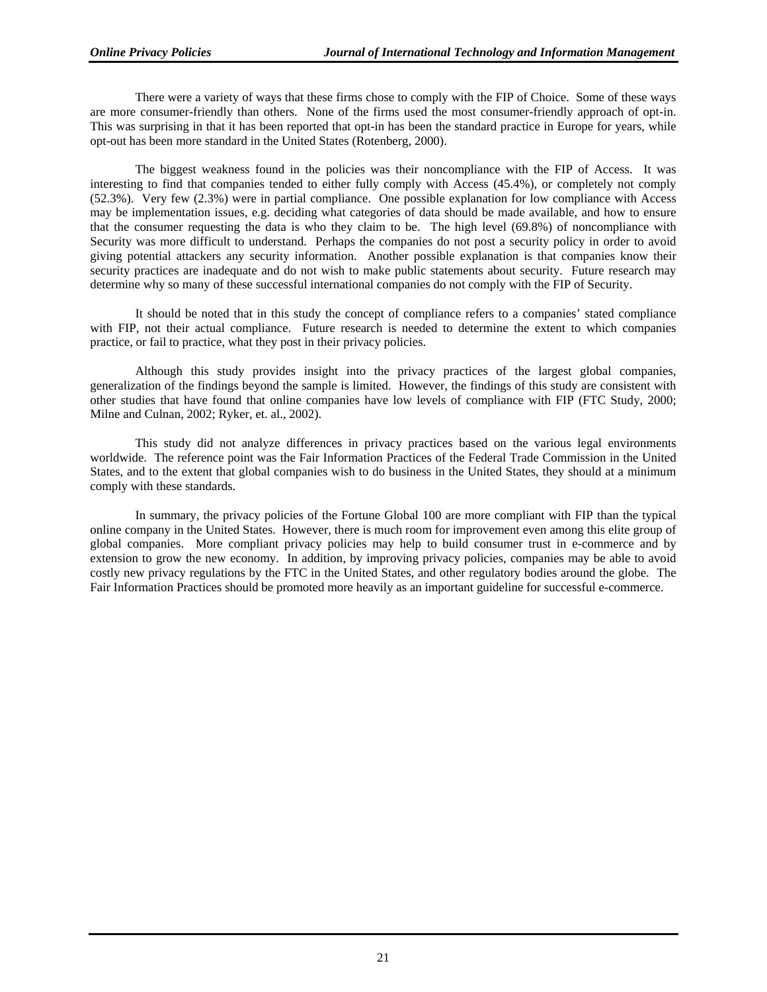There were a variety of ways that these firms chose to comply with the FIP of Choice. Some of these ways are more consumer-friendly than others. None of the firms used the most consumer-friendly approach of opt-in. This was surprising in that it has been reported that opt-in has been the standard practice in Europe for years, while opt-out has been more standard in the United States (Rotenberg, 2000).

The biggest weakness found in the policies was their noncompliance with the FIP of Access. It was interesting to find that companies tended to either fully comply with Access (45.4%), or completely not comply (52.3%). Very few (2.3%) were in partial compliance. One possible explanation for low compliance with Access may be implementation issues, e.g. deciding what categories of data should be made available, and how to ensure that the consumer requesting the data is who they claim to be. The high level (69.8%) of noncompliance with Security was more difficult to understand. Perhaps the companies do not post a security policy in order to avoid giving potential attackers any security information. Another possible explanation is that companies know their security practices are inadequate and do not wish to make public statements about security. Future research may determine why so many of these successful international companies do not comply with the FIP of Security.

It should be noted that in this study the concept of compliance refers to a companies' stated compliance with FIP, not their actual compliance. Future research is needed to determine the extent to which companies practice, or fail to practice, what they post in their privacy policies.

Although this study provides insight into the privacy practices of the largest global companies, generalization of the findings beyond the sample is limited. However, the findings of this study are consistent with other studies that have found that online companies have low levels of compliance with FIP (FTC Study, 2000; Milne and Culnan, 2002; Ryker, et. al., 2002).

This study did not analyze differences in privacy practices based on the various legal environments worldwide. The reference point was the Fair Information Practices of the Federal Trade Commission in the United States, and to the extent that global companies wish to do business in the United States, they should at a minimum comply with these standards.

In summary, the privacy policies of the Fortune Global 100 are more compliant with FIP than the typical online company in the United States. However, there is much room for improvement even among this elite group of global companies. More compliant privacy policies may help to build consumer trust in e-commerce and by extension to grow the new economy. In addition, by improving privacy policies, companies may be able to avoid costly new privacy regulations by the FTC in the United States, and other regulatory bodies around the globe. The Fair Information Practices should be promoted more heavily as an important guideline for successful e-commerce.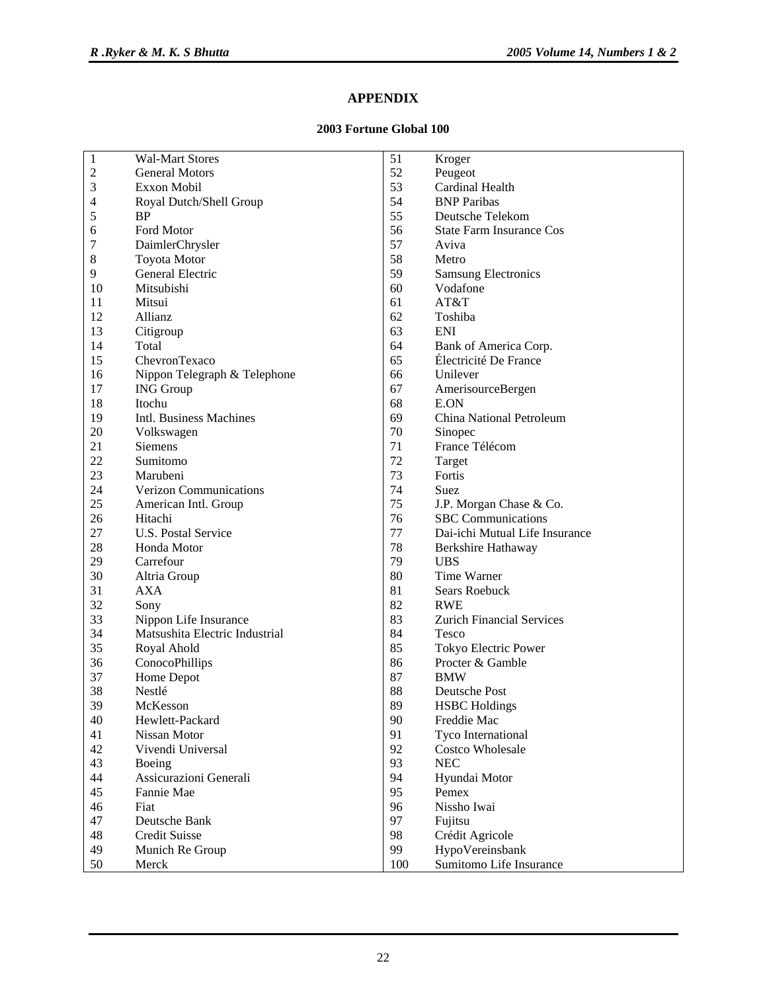# **APPENDIX**

## **2003 Fortune Global 100**

| $\mathbf 1$    | <b>Wal-Mart Stores</b>         | 51  | Kroger                           |
|----------------|--------------------------------|-----|----------------------------------|
| $\overline{c}$ | <b>General Motors</b>          | 52  | Peugeot                          |
| $\mathfrak{Z}$ | <b>Exxon Mobil</b>             | 53  | Cardinal Health                  |
| 4              | Royal Dutch/Shell Group        | 54  | <b>BNP</b> Paribas               |
| $\mathfrak s$  | <b>BP</b>                      | 55  | Deutsche Telekom                 |
| 6              | Ford Motor                     | 56  | <b>State Farm Insurance Cos</b>  |
| 7              | DaimlerChrysler                | 57  | Aviva                            |
| $\,8\,$        | <b>Toyota Motor</b>            | 58  | Metro                            |
| 9              | General Electric               | 59  | <b>Samsung Electronics</b>       |
| 10             | Mitsubishi                     | 60  | Vodafone                         |
| 11             | Mitsui                         | 61  | AT&T                             |
| 12             | Allianz                        | 62  | Toshiba                          |
| 13             | Citigroup                      | 63  | <b>ENI</b>                       |
| 14             | Total                          | 64  | Bank of America Corp.            |
| 15             | ChevronTexaco                  | 65  | Électricité De France            |
| 16             | Nippon Telegraph & Telephone   | 66  | Unilever                         |
| 17             | <b>ING</b> Group               | 67  | AmerisourceBergen                |
| 18             | Itochu                         | 68  | E.ON                             |
| 19             | Intl. Business Machines        | 69  | China National Petroleum         |
| 20             | Volkswagen                     | 70  | Sinopec                          |
| 21             | <b>Siemens</b>                 | 71  | France Télécom                   |
| 22             | Sumitomo                       | 72  | Target                           |
| 23             | Marubeni                       | 73  | Fortis                           |
| 24             | Verizon Communications         | 74  | Suez                             |
| 25             | American Intl. Group           | 75  | J.P. Morgan Chase & Co.          |
| 26             | Hitachi                        | 76  | <b>SBC</b> Communications        |
| 27             | U.S. Postal Service            | 77  | Dai-ichi Mutual Life Insurance   |
| 28             | Honda Motor                    | 78  | Berkshire Hathaway               |
| 29             | Carrefour                      | 79  | <b>UBS</b>                       |
| 30             | Altria Group                   | 80  | Time Warner                      |
| 31             | <b>AXA</b>                     | 81  | Sears Roebuck                    |
| 32             | Sony                           | 82  | <b>RWE</b>                       |
| 33             | Nippon Life Insurance          | 83  | <b>Zurich Financial Services</b> |
| 34             | Matsushita Electric Industrial | 84  | <b>Tesco</b>                     |
| 35             |                                | 85  |                                  |
| 36             | Royal Ahold                    | 86  | Tokyo Electric Power             |
| 37             | ConocoPhillips                 | 87  | Procter & Gamble                 |
|                | Home Depot                     |     | <b>BMW</b>                       |
| 38             | Nestlé                         | 88  | Deutsche Post                    |
| 39             | McKesson                       | 89  | <b>HSBC</b> Holdings             |
| 40             | Hewlett-Packard                | 90  | Freddie Mac                      |
| 41             | Nissan Motor                   | 91  | Tyco International               |
| 42             | Vivendi Universal              | 92  | <b>Costco Wholesale</b>          |
| 43             | Boeing                         | 93  | <b>NEC</b>                       |
| 44             | Assicurazioni Generali         | 94  | Hyundai Motor                    |
| 45             | Fannie Mae                     | 95  | Pemex                            |
| 46             | Fiat                           | 96  | Nissho Iwai                      |
| 47             | Deutsche Bank                  | 97  | Fujitsu                          |
| 48             | Credit Suisse                  | 98  | Crédit Agricole                  |
| 49             | Munich Re Group                | 99  | HypoVereinsbank                  |
| 50             | Merck                          | 100 | Sumitomo Life Insurance          |